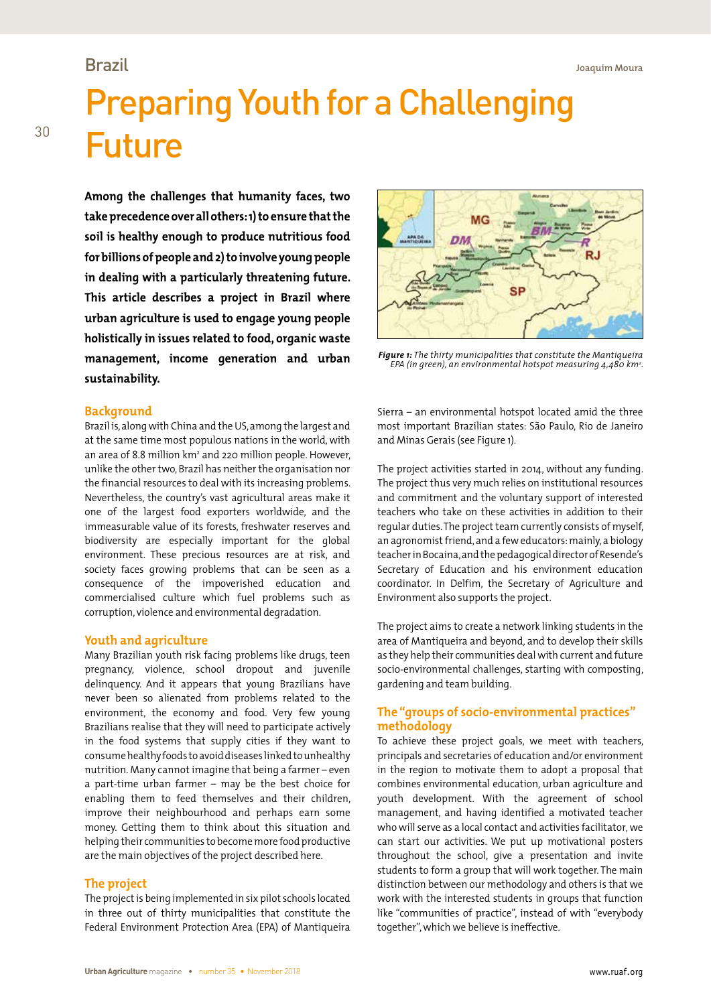## Brazil

# Preparing Youth for a Challenging Future

**Among the challenges that humanity faces, two take precedence over all others: 1) to ensure that the soil is healthy enough to produce nutritious food for billions of people and 2) to involve young people in dealing with a particularly threatening future. This article describes a project in Brazil where urban agriculture is used to engage young people holistically in issues related to food, organic waste management, income generation and urban sustainability.**

## **Background**

Brazil is, along with China and the US, among the largest and at the same time most populous nations in the world, with an area of 8.8 million km<sup>2</sup> and 220 million people. However, unlike the other two, Brazil has neither the organisation nor the financial resources to deal with its increasing problems. Nevertheless, the country's vast agricultural areas make it one of the largest food exporters worldwide, and the immeasurable value of its forests, freshwater reserves and biodiversity are especially important for the global environment. These precious resources are at risk, and society faces growing problems that can be seen as a consequence of the impoverished education and commercialised culture which fuel problems such as corruption, violence and environmental degradation.

## **Youth and agriculture**

Many Brazilian youth risk facing problems like drugs, teen pregnancy, violence, school dropout and juvenile delinquency. And it appears that young Brazilians have never been so alienated from problems related to the environment, the economy and food. Very few young Brazilians realise that they will need to participate actively in the food systems that supply cities if they want to consume healthy foods to avoid diseases linked to unhealthy nutrition. Many cannot imagine that being a farmer – even a part-time urban farmer – may be the best choice for enabling them to feed themselves and their children, improve their neighbourhood and perhaps earn some money. Getting them to think about this situation and helping their communities to become more food productive are the main objectives of the project described here.

## **The project**

The project is being implemented in six pilot schools located in three out of thirty municipalities that constitute the Federal Environment Protection Area (EPA) of Mantiqueira



*Figure 1: The thirty municipalities that constitute the Mantiqueira EPA (in green), an environmental hotspot measuring 4,480 km2 .* 

Sierra – an environmental hotspot located amid the three most important Brazilian states: São Paulo, Rio de Janeiro and Minas Gerais (see Figure 1).

The project activities started in 2014, without any funding. The project thus very much relies on institutional resources and commitment and the voluntary support of interested teachers who take on these activities in addition to their regular duties. The project team currently consists of myself, an agronomist friend, and a few educators: mainly, a biology teacher in Bocaina, and the pedagogical director of Resende's Secretary of Education and his environment education coordinator. In Delfim, the Secretary of Agriculture and Environment also supports the project.

The project aims to create a network linking students in the area of Mantiqueira and beyond, and to develop their skills as they help their communities deal with current and future socio-environmental challenges, starting with composting, gardening and team building.

## **The "groups of socio-environmental practices" methodology**

To achieve these project goals, we meet with teachers, principals and secretaries of education and/or environment in the region to motivate them to adopt a proposal that combines environmental education, urban agriculture and youth development. With the agreement of school management, and having identified a motivated teacher who will serve as a local contact and activities facilitator, we can start our activities. We put up motivational posters throughout the school, give a presentation and invite students to form a group that will work together. The main distinction between our methodology and others is that we work with the interested students in groups that function like "communities of practice", instead of with "everybody together", which we believe is ineffective.